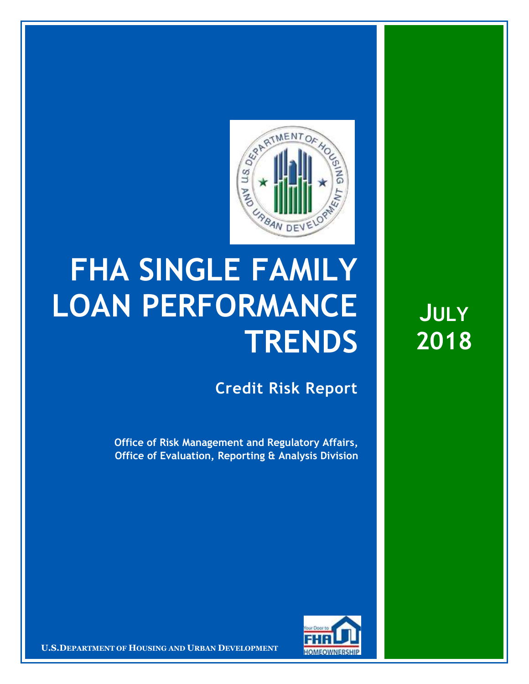

## **FHA SINGLE FAMILY LOAN PERFORMANCE TRENDS**

**Credit Risk Report**

**Office of Risk Management and Regulatory Affairs, Office of Evaluation, Reporting & Analysis Division**



**U.S.DEPARTMENT OF HOUSING AND URBAN DEVELOPMENT** 

**JULY 2018**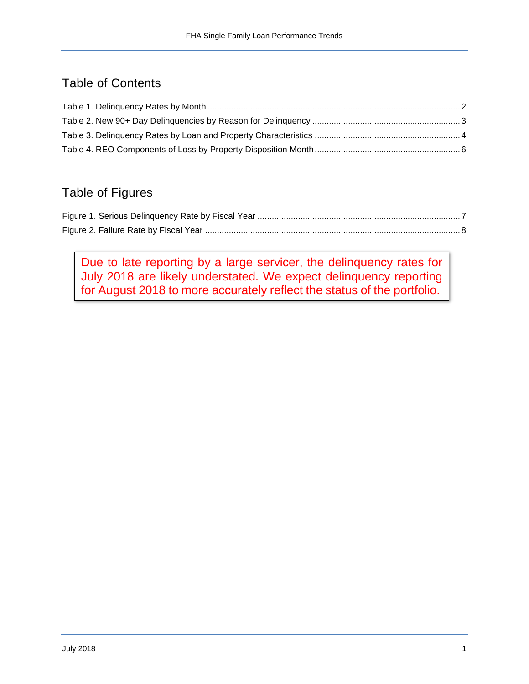## Table of Contents

## Table of Figures

Due to late reporting by a large servicer, the delinquency rates for July 2018 are likely understated. We expect delinquency reporting for August 2018 to more accurately reflect the status of the portfolio.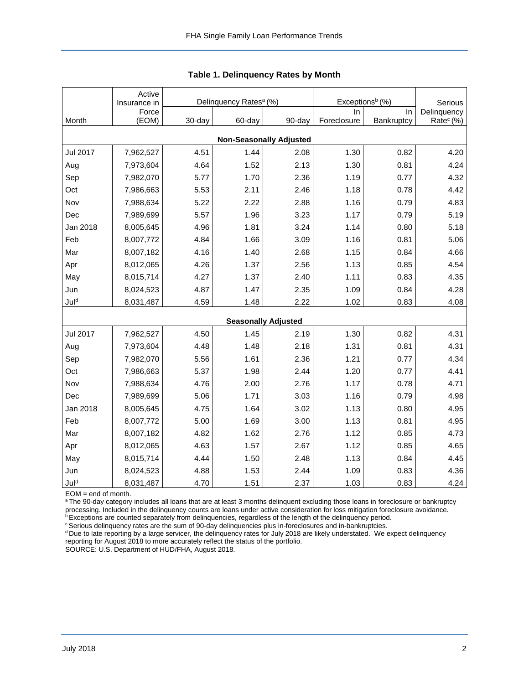<span id="page-2-0"></span>

|          | Active<br>Insurance in |        | Delinquency Rates <sup>a</sup> (%) |                                | Exceptions <sup>b</sup> (%) | Serious    |                       |
|----------|------------------------|--------|------------------------------------|--------------------------------|-----------------------------|------------|-----------------------|
|          | Force                  |        |                                    |                                | In.                         | In.        | Delinquency           |
| Month    | (EOM)                  | 30-day | 60-day                             | 90-day                         | Foreclosure                 | Bankruptcy | Rate <sup>c</sup> (%) |
|          |                        |        |                                    | <b>Non-Seasonally Adjusted</b> |                             |            |                       |
| Jul 2017 | 7,962,527              | 4.51   | 1.44                               | 2.08                           | 1.30                        | 0.82       | 4.20                  |
| Aug      | 7,973,604              | 4.64   | 1.52                               | 2.13                           | 1.30                        | 0.81       | 4.24                  |
| Sep      | 7,982,070              | 5.77   | 1.70                               | 2.36                           | 1.19                        | 0.77       | 4.32                  |
| Oct      | 7,986,663              | 5.53   | 2.11                               | 2.46                           | 1.18                        | 0.78       | 4.42                  |
| Nov      | 7,988,634              | 5.22   | 2.22                               | 2.88                           | 1.16                        | 0.79       | 4.83                  |
| Dec      | 7,989,699              | 5.57   | 1.96                               | 3.23                           | 1.17                        | 0.79       | 5.19                  |
| Jan 2018 | 8,005,645              | 4.96   | 1.81                               | 3.24                           | 1.14                        | 0.80       | 5.18                  |
| Feb      | 8,007,772              | 4.84   | 1.66                               | 3.09                           | 1.16                        | 0.81       | 5.06                  |
| Mar      | 8,007,182              | 4.16   | 1.40                               | 2.68                           | 1.15                        | 0.84       | 4.66                  |
| Apr      | 8,012,065              | 4.26   | 1.37                               | 2.56                           | 1.13                        | 0.85       | 4.54                  |
| May      | 8,015,714              | 4.27   | 1.37                               | 2.40                           | 1.11                        | 0.83       | 4.35                  |
| Jun      | 8,024,523              | 4.87   | 1.47                               | 2.35                           | 1.09                        | 0.84       | 4.28                  |
| Juld     | 8,031,487              | 4.59   | 1.48                               | 2.22                           | 1.02                        | 0.83       | 4.08                  |
|          |                        |        |                                    | <b>Seasonally Adjusted</b>     |                             |            |                       |
| Jul 2017 | 7,962,527              | 4.50   | 1.45                               | 2.19                           | 1.30                        | 0.82       | 4.31                  |
| Aug      | 7,973,604              | 4.48   | 1.48                               | 2.18                           | 1.31                        | 0.81       | 4.31                  |
| Sep      | 7,982,070              | 5.56   | 1.61                               | 2.36                           | 1.21                        | 0.77       | 4.34                  |
| Oct      | 7,986,663              | 5.37   | 1.98                               | 2.44                           | 1.20                        | 0.77       | 4.41                  |
| Nov      | 7,988,634              | 4.76   | 2.00                               | 2.76                           | 1.17                        | 0.78       | 4.71                  |
| Dec      | 7,989,699              | 5.06   | 1.71                               | 3.03                           | 1.16                        | 0.79       | 4.98                  |
| Jan 2018 | 8,005,645              | 4.75   | 1.64                               | 3.02                           | 1.13                        | 0.80       | 4.95                  |
| Feb      | 8,007,772              | 5.00   | 1.69                               | 3.00                           | 1.13                        | 0.81       | 4.95                  |
| Mar      | 8,007,182              | 4.82   | 1.62                               | 2.76                           | 1.12                        | 0.85       | 4.73                  |
| Apr      | 8,012,065              | 4.63   | 1.57                               | 2.67                           | 1.12                        | 0.85       | 4.65                  |
| May      | 8,015,714              | 4.44   | 1.50                               | 2.48                           | 1.13                        | 0.84       | 4.45                  |
| Jun      | 8,024,523              | 4.88   | 1.53                               | 2.44                           | 1.09                        | 0.83       | 4.36                  |
| Juld     | 8,031,487              | 4.70   | 1.51                               | 2.37                           | 1.03                        | 0.83       | 4.24                  |

|  | <b>Table 1. Delinquency Rates by Month</b> |  |  |
|--|--------------------------------------------|--|--|
|--|--------------------------------------------|--|--|

EOM = end of month.

a The 90-day category includes all loans that are at least 3 months delinquent excluding those loans in foreclosure or bankruptcy processing. Included in the delinquency counts are loans under active consideration for loss mitigation foreclosure avoidance.

**bExceptions are counted separately from delinquencies, regardless of the length of the delinquency period.** 

<sup>c</sup> Serious delinquency rates are the sum of 90-day delinquencies plus in-foreclosures and in-bankruptcies.

<sup>d</sup> Due to late reporting by a large servicer, the delinquency rates for July 2018 are likely understated. We expect delinquency reporting for August 2018 to more accurately reflect the status of the portfolio.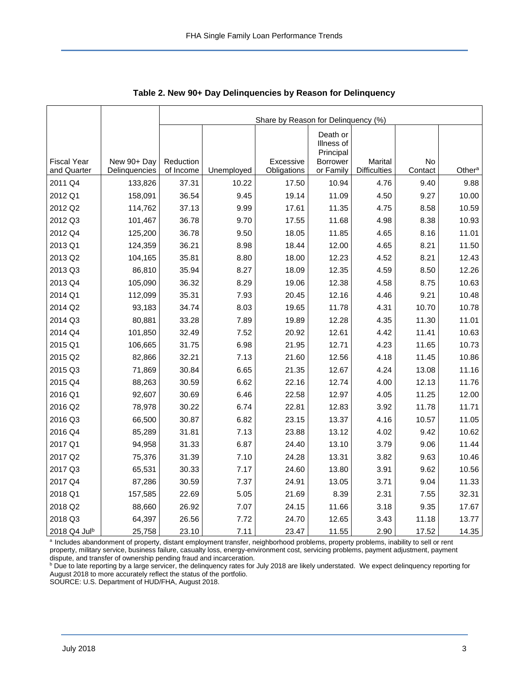<span id="page-3-0"></span>

|                    |               | Share by Reason for Delinquency (%) |            |             |                                                        |                     |         |                    |  |  |  |
|--------------------|---------------|-------------------------------------|------------|-------------|--------------------------------------------------------|---------------------|---------|--------------------|--|--|--|
| <b>Fiscal Year</b> | New 90+ Day   | Reduction                           |            | Excessive   | Death or<br>Illness of<br>Principal<br><b>Borrower</b> | Marital             | No      |                    |  |  |  |
| and Quarter        | Delinquencies | of Income                           | Unemployed | Obligations | or Family                                              | <b>Difficulties</b> | Contact | Other <sup>a</sup> |  |  |  |
| 2011 Q4            | 133,826       | 37.31                               | 10.22      | 17.50       | 10.94                                                  | 4.76                | 9.40    | 9.88               |  |  |  |
| 2012 Q1            | 158,091       | 36.54                               | 9.45       | 19.14       | 11.09                                                  | 4.50                | 9.27    | 10.00              |  |  |  |
| 2012 Q2            | 114,762       | 37.13                               | 9.99       | 17.61       | 11.35                                                  | 4.75                | 8.58    | 10.59              |  |  |  |
| 2012 Q3            | 101,467       | 36.78                               | 9.70       | 17.55       | 11.68                                                  | 4.98                | 8.38    | 10.93              |  |  |  |
| 2012 Q4            | 125,200       | 36.78                               | 9.50       | 18.05       | 11.85                                                  | 4.65                | 8.16    | 11.01              |  |  |  |
| 2013 Q1            | 124,359       | 36.21                               | 8.98       | 18.44       | 12.00                                                  | 4.65                | 8.21    | 11.50              |  |  |  |
| 2013 Q2            | 104,165       | 35.81                               | 8.80       | 18.00       | 12.23                                                  | 4.52                | 8.21    | 12.43              |  |  |  |
| 2013 Q3            | 86,810        | 35.94                               | 8.27       | 18.09       | 12.35                                                  | 4.59                | 8.50    | 12.26              |  |  |  |
| 2013 Q4            | 105,090       | 36.32                               | 8.29       | 19.06       | 12.38                                                  | 4.58                | 8.75    | 10.63              |  |  |  |
| 2014 Q1            | 112,099       | 35.31                               | 7.93       | 20.45       | 12.16                                                  | 4.46                | 9.21    | 10.48              |  |  |  |
| 2014 Q2            | 93,183        | 34.74                               | 8.03       | 19.65       | 11.78                                                  | 4.31                | 10.70   | 10.78              |  |  |  |
| 2014 Q3            | 80,881        | 33.28                               | 7.89       | 19.89       | 12.28                                                  | 4.35                | 11.30   | 11.01              |  |  |  |
| 2014 Q4            | 101,850       | 32.49                               | 7.52       | 20.92       | 12.61                                                  | 4.42                | 11.41   | 10.63              |  |  |  |
| 2015 Q1            | 106,665       | 31.75                               | 6.98       | 21.95       | 12.71                                                  | 4.23                | 11.65   | 10.73              |  |  |  |
| 2015 Q2            | 82,866        | 32.21                               | 7.13       | 21.60       | 12.56                                                  | 4.18                | 11.45   | 10.86              |  |  |  |
| 2015 Q3            | 71,869        | 30.84                               | 6.65       | 21.35       | 12.67                                                  | 4.24                | 13.08   | 11.16              |  |  |  |
| 2015 Q4            | 88,263        | 30.59                               | 6.62       | 22.16       | 12.74                                                  | 4.00                | 12.13   | 11.76              |  |  |  |
| 2016 Q1            | 92,607        | 30.69                               | 6.46       | 22.58       | 12.97                                                  | 4.05                | 11.25   | 12.00              |  |  |  |
| 2016 Q2            | 78,978        | 30.22                               | 6.74       | 22.81       | 12.83                                                  | 3.92                | 11.78   | 11.71              |  |  |  |
| 2016 Q3            | 66,500        | 30.87                               | 6.82       | 23.15       | 13.37                                                  | 4.16                | 10.57   | 11.05              |  |  |  |
| 2016 Q4            | 85,289        | 31.81                               | 7.13       | 23.88       | 13.12                                                  | 4.02                | 9.42    | 10.62              |  |  |  |
| 2017 Q1            | 94,958        | 31.33                               | 6.87       | 24.40       | 13.10                                                  | 3.79                | 9.06    | 11.44              |  |  |  |
| 2017 Q2            | 75,376        | 31.39                               | 7.10       | 24.28       | 13.31                                                  | 3.82                | 9.63    | 10.46              |  |  |  |
| 2017 Q3            | 65,531        | 30.33                               | 7.17       | 24.60       | 13.80                                                  | 3.91                | 9.62    | 10.56              |  |  |  |
| 2017 Q4            | 87,286        | 30.59                               | 7.37       | 24.91       | 13.05                                                  | 3.71                | 9.04    | 11.33              |  |  |  |
| 2018 Q1            | 157,585       | 22.69                               | 5.05       | 21.69       | 8.39                                                   | 2.31                | 7.55    | 32.31              |  |  |  |
| 2018 Q2            | 88,660        | 26.92                               | 7.07       | 24.15       | 11.66                                                  | 3.18                | 9.35    | 17.67              |  |  |  |
| 2018 Q3            | 64,397        | 26.56                               | 7.72       | 24.70       | 12.65                                                  | 3.43                | 11.18   | 13.77              |  |  |  |
| 2018 Q4 Julb       | 25,758        | 23.10                               | 7.11       | 23.47       | 11.55                                                  | 2.90                | 17.52   | 14.35              |  |  |  |

**Table 2. New 90+ Day Delinquencies by Reason for Delinquency**

a Includes abandonment of property, distant employment transfer, neighborhood problems, property problems, inability to sell or rent property, military service, business failure, casualty loss, energy-environment cost, servicing problems, payment adjustment, payment dispute, and transfer of ownership pending fraud and incarceration.

**b** Due to late reporting by a large servicer, the delinquency rates for July 2018 are likely understated. We expect delinquency reporting for August 2018 to more accurately reflect the status of the portfolio.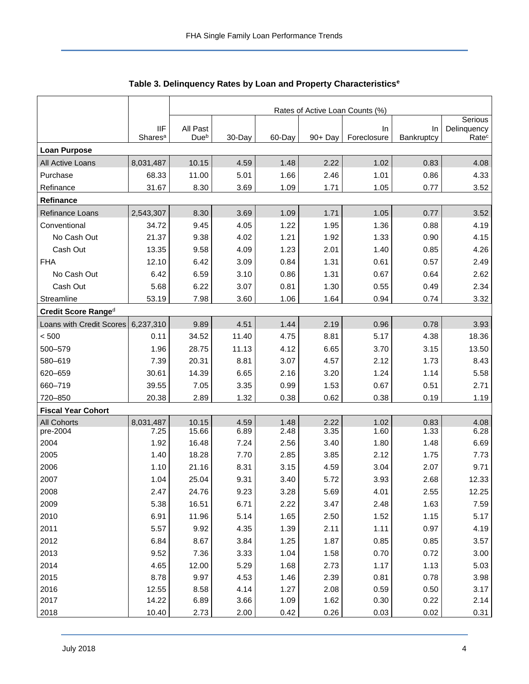<span id="page-4-0"></span>

|                           |                                   | Rates of Active Loan Counts (%) |              |              |              |                   |                  |                                  |  |  |
|---------------------------|-----------------------------------|---------------------------------|--------------|--------------|--------------|-------------------|------------------|----------------------------------|--|--|
|                           |                                   |                                 |              |              |              |                   |                  | Serious                          |  |  |
|                           | <b>IIF</b><br>Shares <sup>a</sup> | All Past<br>Due <sup>b</sup>    | 30-Day       | 60-Day       | 90+ Day      | In<br>Foreclosure | In<br>Bankruptcy | Delinquency<br>Rate <sup>c</sup> |  |  |
| <b>Loan Purpose</b>       |                                   |                                 |              |              |              |                   |                  |                                  |  |  |
| All Active Loans          | 8,031,487                         | 10.15                           | 4.59         | 1.48         | 2.22         | 1.02              | 0.83             | 4.08                             |  |  |
| Purchase                  | 68.33                             | 11.00                           | 5.01         | 1.66         | 2.46         | 1.01              | 0.86             | 4.33                             |  |  |
| Refinance                 | 31.67                             | 8.30                            | 3.69         | 1.09         | 1.71         | 1.05              | 0.77             | 3.52                             |  |  |
| Refinance                 |                                   |                                 |              |              |              |                   |                  |                                  |  |  |
| Refinance Loans           | 2,543,307                         | 8.30                            | 3.69         | 1.09         | 1.71         | 1.05              | 0.77             | 3.52                             |  |  |
| Conventional              | 34.72                             | 9.45                            | 4.05         | 1.22         | 1.95         | 1.36              | 0.88             | 4.19                             |  |  |
| No Cash Out               | 21.37                             | 9.38                            | 4.02         | 1.21         | 1.92         | 1.33              | 0.90             | 4.15                             |  |  |
| Cash Out                  | 13.35                             | 9.58                            | 4.09         | 1.23         | 2.01         | 1.40              | 0.85             | 4.26                             |  |  |
| <b>FHA</b>                | 12.10                             | 6.42                            | 3.09         | 0.84         | 1.31         | 0.61              | 0.57             | 2.49                             |  |  |
| No Cash Out               | 6.42                              | 6.59                            | 3.10         | 0.86         | 1.31         | 0.67              | 0.64             | 2.62                             |  |  |
| Cash Out                  | 5.68                              | 6.22                            | 3.07         | 0.81         | 1.30         | 0.55              | 0.49             | 2.34                             |  |  |
| Streamline                | 53.19                             | 7.98                            | 3.60         | 1.06         | 1.64         | 0.94              | 0.74             | 3.32                             |  |  |
| Credit Score Ranged       |                                   |                                 |              |              |              |                   |                  |                                  |  |  |
| Loans with Credit Scores  | 6,237,310                         | 9.89                            | 4.51         | 1.44         | 2.19         | 0.96              | 0.78             | 3.93                             |  |  |
| < 500                     | 0.11                              | 34.52                           | 11.40        | 4.75         | 8.81         | 5.17              | 4.38             | 18.36                            |  |  |
| 500-579                   | 1.96                              | 28.75                           | 11.13        | 4.12         | 6.65         | 3.70              | 3.15             | 13.50                            |  |  |
| 580-619                   | 7.39                              | 20.31                           | 8.81         | 3.07         | 4.57         | 2.12              | 1.73             | 8.43                             |  |  |
| 620-659                   | 30.61                             | 14.39                           | 6.65         | 2.16         | 3.20         | 1.24              | 1.14             | 5.58                             |  |  |
| 660-719                   | 39.55                             | 7.05                            | 3.35         | 0.99         | 1.53         | 0.67              | 0.51             | 2.71                             |  |  |
| 720-850                   | 20.38                             | 2.89                            | 1.32         | 0.38         | 0.62         | 0.38              | 0.19             | 1.19                             |  |  |
| <b>Fiscal Year Cohort</b> |                                   |                                 |              |              |              |                   |                  |                                  |  |  |
| <b>All Cohorts</b>        | 8,031,487                         | 10.15                           | 4.59         | 1.48         | 2.22         | 1.02              | 0.83             | 4.08                             |  |  |
| pre-2004                  | 7.25                              | 15.66                           | 6.89         | 2.48         | 3.35         | 1.60              | 1.33             | 6.28                             |  |  |
| 2004                      | 1.92                              | 16.48                           | 7.24         | 2.56         | 3.40         | 1.80              | 1.48             | 6.69                             |  |  |
| 2005<br>2006              | 1.40                              | 18.28                           | 7.70         | 2.85         | 3.85<br>4.59 | 2.12<br>3.04      | 1.75<br>2.07     | 7.73<br>9.71                     |  |  |
| 2007                      | 1.10<br>1.04                      | 21.16<br>25.04                  | 8.31<br>9.31 | 3.15<br>3.40 | 5.72         | 3.93              | 2.68             | 12.33                            |  |  |
|                           | 2.47                              |                                 | 9.23         |              | 5.69         |                   |                  |                                  |  |  |
| 2008<br>2009              | 5.38                              | 24.76<br>16.51                  | 6.71         | 3.28<br>2.22 | 3.47         | 4.01<br>2.48      | 2.55<br>1.63     | 12.25<br>7.59                    |  |  |
| 2010                      | 6.91                              | 11.96                           | 5.14         | 1.65         | 2.50         | 1.52              | 1.15             | 5.17                             |  |  |
| 2011                      | 5.57                              | 9.92                            | 4.35         | 1.39         | 2.11         | 1.11              | 0.97             | 4.19                             |  |  |
| 2012                      | 6.84                              | 8.67                            | 3.84         | 1.25         | 1.87         | 0.85              | 0.85             | 3.57                             |  |  |
| 2013                      | 9.52                              | 7.36                            | 3.33         | 1.04         | 1.58         | 0.70              | 0.72             | 3.00                             |  |  |
| 2014                      | 4.65                              | 12.00                           | 5.29         | 1.68         | 2.73         | 1.17              | 1.13             | 5.03                             |  |  |
| 2015                      | 8.78                              | 9.97                            | 4.53         | 1.46         | 2.39         | 0.81              | 0.78             | 3.98                             |  |  |
| 2016                      | 12.55                             | 8.58                            | 4.14         | 1.27         | 2.08         | 0.59              | 0.50             | 3.17                             |  |  |
| 2017                      | 14.22                             | 6.89                            | 3.66         | 1.09         | 1.62         | 0.30              | 0.22             | 2.14                             |  |  |
| 2018                      | 10.40                             | 2.73                            | 2.00         | 0.42         | 0.26         | 0.03              | 0.02             | 0.31                             |  |  |

**Table 3. Delinquency Rates by Loan and Property Characteristics<sup>e</sup>**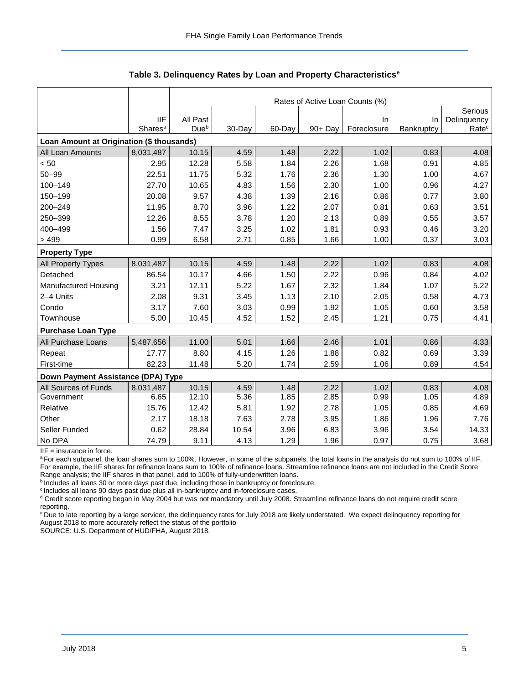|                                           |                     | Rates of Active Loan Counts (%) |        |           |            |             |            |                   |  |  |  |
|-------------------------------------------|---------------------|---------------------------------|--------|-----------|------------|-------------|------------|-------------------|--|--|--|
|                                           |                     |                                 |        |           |            |             |            | Serious           |  |  |  |
|                                           | <b>IIF</b>          | All Past                        |        |           |            | In          | In         | Delinquency       |  |  |  |
|                                           | Shares <sup>a</sup> | Due <sup>b</sup>                | 30-Day | $60$ -Day | $90 + Day$ | Foreclosure | Bankruptcy | Rate <sup>c</sup> |  |  |  |
| Loan Amount at Origination (\$ thousands) |                     |                                 |        |           |            |             |            |                   |  |  |  |
| All Loan Amounts                          | 8,031,487           | 10.15                           | 4.59   | 1.48      | 2.22       | 1.02        | 0.83       | 4.08              |  |  |  |
| < 50                                      | 2.95                | 12.28                           | 5.58   | 1.84      | 2.26       | 1.68        | 0.91       | 4.85              |  |  |  |
| $50 - 99$                                 | 22.51               | 11.75                           | 5.32   | 1.76      | 2.36       | 1.30        | 1.00       | 4.67              |  |  |  |
| 100-149                                   | 27.70               | 10.65                           | 4.83   | 1.56      | 2.30       | 1.00        | 0.96       | 4.27              |  |  |  |
| 150-199                                   | 20.08               | 9.57                            | 4.38   | 1.39      | 2.16       | 0.86        | 0.77       | 3.80              |  |  |  |
| 200-249                                   | 11.95               | 8.70                            | 3.96   | 1.22      | 2.07       | 0.81        | 0.63       | 3.51              |  |  |  |
| 250-399                                   | 12.26               | 8.55                            | 3.78   | 1.20      | 2.13       | 0.89        | 0.55       | 3.57              |  |  |  |
| 400-499                                   | 1.56                | 7.47                            | 3.25   | 1.02      | 1.81       | 0.93        | 0.46       | 3.20              |  |  |  |
| > 499                                     | 0.99                | 6.58                            | 2.71   | 0.85      | 1.66       | 1.00        | 0.37       | 3.03              |  |  |  |
| <b>Property Type</b>                      |                     |                                 |        |           |            |             |            |                   |  |  |  |
| <b>All Property Types</b>                 | 8,031,487           | 10.15                           | 4.59   | 1.48      | 2.22       | 1.02        | 0.83       | 4.08              |  |  |  |
| Detached                                  | 86.54               | 10.17                           | 4.66   | 1.50      | 2.22       | 0.96        | 0.84       | 4.02              |  |  |  |
| Manufactured Housing                      | 3.21                | 12.11                           | 5.22   | 1.67      | 2.32       | 1.84        | 1.07       | 5.22              |  |  |  |
| 2-4 Units                                 | 2.08                | 9.31                            | 3.45   | 1.13      | 2.10       | 2.05        | 0.58       | 4.73              |  |  |  |
| Condo                                     | 3.17                | 7.60                            | 3.03   | 0.99      | 1.92       | 1.05        | 0.60       | 3.58              |  |  |  |
| Townhouse                                 | 5.00                | 10.45                           | 4.52   | 1.52      | 2.45       | 1.21        | 0.75       | 4.41              |  |  |  |
| <b>Purchase Loan Type</b>                 |                     |                                 |        |           |            |             |            |                   |  |  |  |
| All Purchase Loans                        | 5,487,656           | 11.00                           | 5.01   | 1.66      | 2.46       | 1.01        | 0.86       | 4.33              |  |  |  |
| Repeat                                    | 17.77               | 8.80                            | 4.15   | 1.26      | 1.88       | 0.82        | 0.69       | 3.39              |  |  |  |
| First-time                                | 82.23               | 11.48                           | 5.20   | 1.74      | 2.59       | 1.06        | 0.89       | 4.54              |  |  |  |
| Down Payment Assistance (DPA) Type        |                     |                                 |        |           |            |             |            |                   |  |  |  |
| All Sources of Funds                      | 8,031,487           | 10.15                           | 4.59   | 1.48      | 2.22       | 1.02        | 0.83       | 4.08              |  |  |  |
| Government                                | 6.65                | 12.10                           | 5.36   | 1.85      | 2.85       | 0.99        | 1.05       | 4.89              |  |  |  |
| Relative                                  | 15.76               | 12.42                           | 5.81   | 1.92      | 2.78       | 1.05        | 0.85       | 4.69              |  |  |  |
| Other                                     | 2.17                | 18.18                           | 7.63   | 2.78      | 3.95       | 1.86        | 1.96       | 7.76              |  |  |  |
| Seller Funded                             | 0.62                | 28.84                           | 10.54  | 3.96      | 6.83       | 3.96        | 3.54       | 14.33             |  |  |  |
| No DPA                                    | 74.79               | 9.11                            | 4.13   | 1.29      | 1.96       | 0.97        | 0.75       | 3.68              |  |  |  |

**Table 3. Delinquency Rates by Loan and Property Characteristics<sup>e</sup>**

 $IIF =$  insurance in force.

a For each subpanel, the loan shares sum to 100%. However, in some of the subpanels, the total loans in the analysis do not sum to 100% of IIF. For example, the IIF shares for refinance loans sum to 100% of refinance loans. Streamline refinance loans are not included in the Credit Score Range analysis; the IIF shares in that panel, add to 100% of fully-underwritten loans.

**bIncludes all loans 30 or more days past due, including those in bankruptcy or foreclosure.** 

<sup>c</sup> Includes all loans 90 days past due plus all in-bankruptcy and in-foreclosure cases.

d Credit score reporting began in May 2004 but was not mandatory until July 2008. Streamline refinance loans do not require credit score reporting.

<sup>e</sup> Due to late reporting by a large servicer, the delinquency rates for July 2018 are likely understated. We expect delinquency reporting for August 2018 to more accurately reflect the status of the portfolio.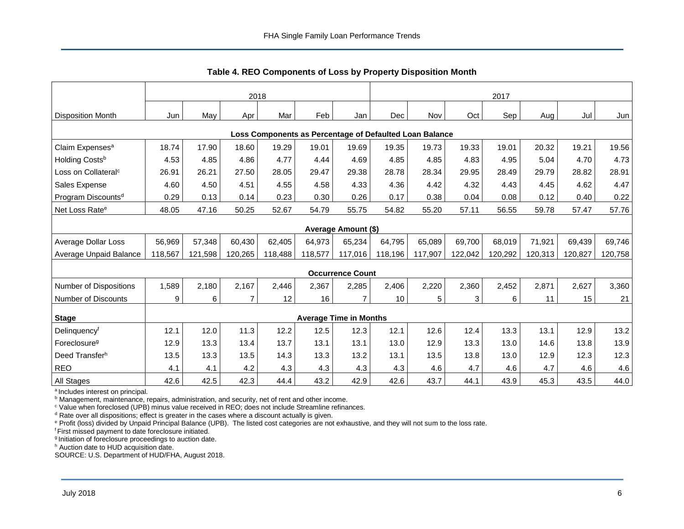<span id="page-6-0"></span>

|                                                         | 2018    |         |                |         |         |                               | 2017    |         |         |         |         |         |         |
|---------------------------------------------------------|---------|---------|----------------|---------|---------|-------------------------------|---------|---------|---------|---------|---------|---------|---------|
| <b>Disposition Month</b>                                | Jun     | May     | Apr            | Mar     | Feb     | Jan                           | Dec     | Nov     | Oct     | Sep     | Aug     | Jul     | Jun     |
| Loss Components as Percentage of Defaulted Loan Balance |         |         |                |         |         |                               |         |         |         |         |         |         |         |
| Claim Expenses <sup>a</sup>                             | 18.74   | 17.90   | 18.60          | 19.29   | 19.01   | 19.69                         | 19.35   | 19.73   | 19.33   | 19.01   | 20.32   | 19.21   | 19.56   |
| Holding Costs <sup>b</sup>                              | 4.53    | 4.85    | 4.86           | 4.77    | 4.44    | 4.69                          | 4.85    | 4.85    | 4.83    | 4.95    | 5.04    | 4.70    | 4.73    |
| Loss on Collateral <sup>c</sup>                         | 26.91   | 26.21   | 27.50          | 28.05   | 29.47   | 29.38                         | 28.78   | 28.34   | 29.95   | 28.49   | 29.79   | 28.82   | 28.91   |
| Sales Expense                                           | 4.60    | 4.50    | 4.51           | 4.55    | 4.58    | 4.33                          | 4.36    | 4.42    | 4.32    | 4.43    | 4.45    | 4.62    | 4.47    |
| Program Discounts <sup>d</sup>                          | 0.29    | 0.13    | 0.14           | 0.23    | 0.30    | 0.26                          | 0.17    | 0.38    | 0.04    | 0.08    | 0.12    | 0.40    | 0.22    |
| Net Loss Rate <sup>e</sup>                              | 48.05   | 47.16   | 50.25          | 52.67   | 54.79   | 55.75                         | 54.82   | 55.20   | 57.11   | 56.55   | 59.78   | 57.47   | 57.76   |
|                                                         |         |         |                |         |         | Average Amount (\$)           |         |         |         |         |         |         |         |
| <b>Average Dollar Loss</b>                              | 56,969  | 57,348  | 60,430         | 62,405  | 64,973  | 65,234                        | 64,795  | 65,089  | 69,700  | 68,019  | 71,921  | 69,439  | 69,746  |
| Average Unpaid Balance                                  | 118,567 | 121,598 | 120,265        | 118,488 | 118,577 | 117,016                       | 118,196 | 117,907 | 122,042 | 120,292 | 120,313 | 120,827 | 120,758 |
|                                                         |         |         |                |         |         | <b>Occurrence Count</b>       |         |         |         |         |         |         |         |
| <b>Number of Dispositions</b>                           | 1,589   | 2,180   | 2,167          | 2,446   | 2,367   | 2,285                         | 2,406   | 2,220   | 2,360   | 2,452   | 2,871   | 2,627   | 3,360   |
| <b>Number of Discounts</b>                              | 9       | 6       | $\overline{7}$ | 12      | 16      | 7                             | 10      | 5       | 3       | 6       | 11      | 15      | 21      |
| <b>Stage</b>                                            |         |         |                |         |         | <b>Average Time in Months</b> |         |         |         |         |         |         |         |
| Delinquencyf                                            | 12.1    | 12.0    | 11.3           | 12.2    | 12.5    | 12.3                          | 12.1    | 12.6    | 12.4    | 13.3    | 13.1    | 12.9    | 13.2    |
| Foreclosure <sup>g</sup>                                | 12.9    | 13.3    | 13.4           | 13.7    | 13.1    | 13.1                          | 13.0    | 12.9    | 13.3    | 13.0    | 14.6    | 13.8    | 13.9    |
| Deed Transfer <sup>h</sup>                              | 13.5    | 13.3    | 13.5           | 14.3    | 13.3    | 13.2                          | 13.1    | 13.5    | 13.8    | 13.0    | 12.9    | 12.3    | 12.3    |
| <b>REO</b>                                              | 4.1     | 4.1     | 4.2            | 4.3     | 4.3     | 4.3                           | 4.3     | 4.6     | 4.7     | 4.6     | 4.7     | 4.6     | 4.6     |
| <b>All Stages</b>                                       | 42.6    | 42.5    | 42.3           | 44.4    | 43.2    | 42.9                          | 42.6    | 43.7    | 44.1    | 43.9    | 45.3    | 43.5    | 44.0    |

**Table 4. REO Components of Loss by Property Disposition Month**

<sup>a</sup> Includes interest on principal.

**b** Management, maintenance, repairs, administration, and security, net of rent and other income.

<sup>c</sup> Value when foreclosed (UPB) minus value received in REO; does not include Streamline refinances.

 $d$  Rate over all dispositions; effect is greater in the cases where a discount actually is given.

<sup>e</sup> Profit (loss) divided by Unpaid Principal Balance (UPB). The listed cost categories are not exhaustive, and they will not sum to the loss rate.

<sup>f</sup> First missed payment to date foreclosure initiated.

<sup>g</sup> Initiation of foreclosure proceedings to auction date.

h Auction date to HUD acquisition date.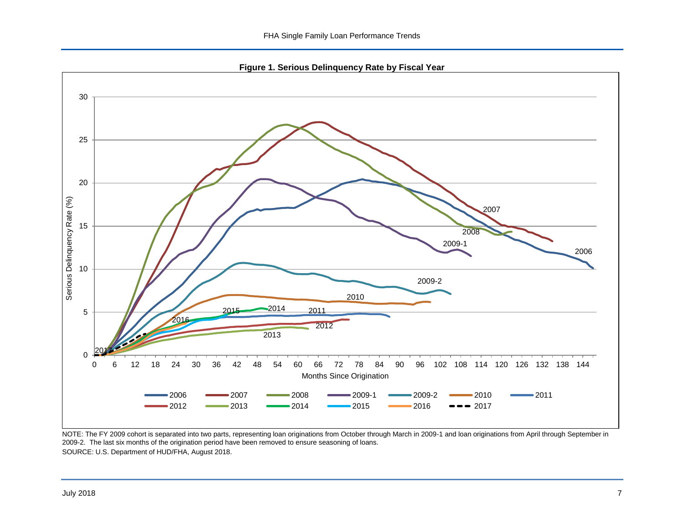**Figure 1. Serious Delinquency Rate by Fiscal Year**

<span id="page-7-0"></span>

NOTE: The FY 2009 cohort is separated into two parts, representing loan originations from October through March in 2009-1 and loan originations from April through September in 2009-2. The last six months of the origination period have been removed to ensure seasoning of loans. SOURCE: U.S. Department of HUD/FHA, August 2018.